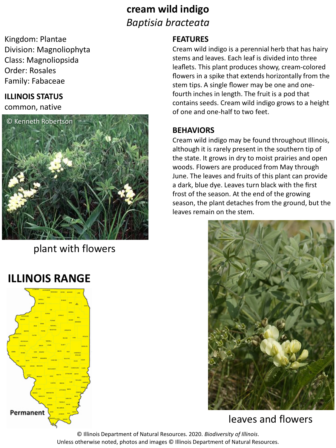## **cream wild indigo** *Baptisia bracteata*

Kingdom: Plantae Division: Magnoliophyta Class: Magnoliopsida Order: Rosales Family: Fabaceae

#### **ILLINOIS STATUS**

common, native



plant with flowers

# **ILLINOIS RANGE**



#### **FEATURES**

Cream wild indigo is a perennial herb that has hairy stems and leaves. Each leaf is divided into three leaflets. This plant produces showy, cream-colored flowers in a spike that extends horizontally from the stem tips. A single flower may be one and onefourth inches in length. The fruit is a pod that contains seeds. Cream wild indigo grows to a height of one and one-half to two feet.

#### **BEHAVIORS**

Cream wild indigo may be found throughout Illinois, although it is rarely present in the southern tip of the state. It grows in dry to moist prairies and open woods. Flowers are produced from May through June. The leaves and fruits of this plant can provide a dark, blue dye. Leaves turn black with the first frost of the season. At the end of the growing season, the plant detaches from the ground, but the leaves remain on the stem.



### leaves and flowers

© Illinois Department of Natural Resources. 2020. *Biodiversity of Illinois*. Unless otherwise noted, photos and images © Illinois Department of Natural Resources.